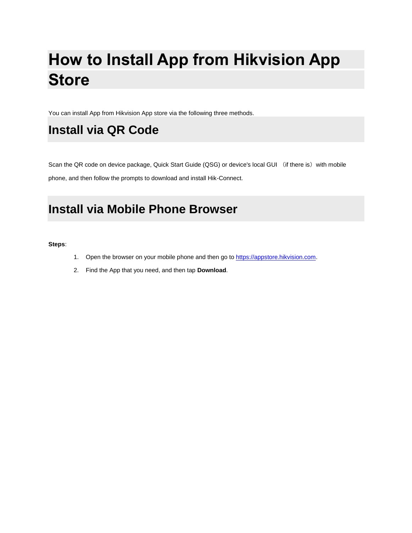# **How to Install App from Hikvision App Store**

You can install App from Hikvision App store via the following three methods.

### **Install via QR Code**

Scan the QR code on device package, Quick Start Guide (QSG) or device's local GUI (if there is) with mobile phone, and then follow the prompts to download and install Hik-Connect.

### **Install via Mobile Phone Browser**

**Steps**:

- 1. Open the browser on your mobile phone and then go to [https://appstore.hikvision.com.](https://appstore.hikvision.com/)
- 2. Find the App that you need, and then tap **Download**.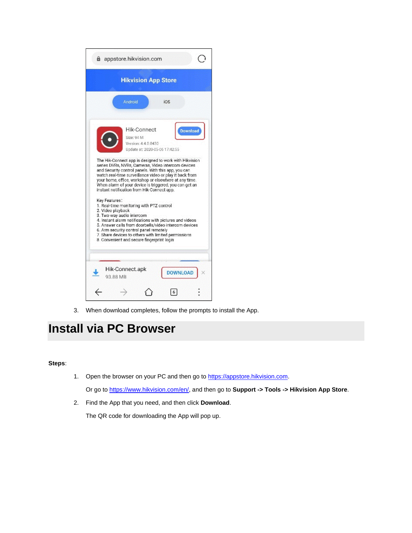|                   | <b>Hikvision App Store</b>                                                                                                                                                                                                                                                                                                               |  |
|-------------------|------------------------------------------------------------------------------------------------------------------------------------------------------------------------------------------------------------------------------------------------------------------------------------------------------------------------------------------|--|
|                   | Android<br>iOS                                                                                                                                                                                                                                                                                                                           |  |
|                   | <b>Hik-Connect</b><br>Download<br>Size: 94 M<br>Version: 4.4.0.0430<br>Update at: 2020-05-05 17:42:55                                                                                                                                                                                                                                    |  |
|                   | The Hik-Connect app is designed to work with Hikvision                                                                                                                                                                                                                                                                                   |  |
| Key Features:     | series DVRs, NVRs, Cameras, Video intercom devices<br>and Security control panels. With this app, you can<br>watch real-time surveillance video or play it back from<br>your home, office, workshop or elsewhere at any time.<br>When alarm of your device is triggered, you can get an<br>instant notification from Hik-Connect app.    |  |
| 2. Video playback | 1. Real-time monitoring with PTZ control<br>3. Two way audio intercom<br>4. Instant alarm notifications with pictures and videos<br>5. Answer calls from doorbells/video intercom devices<br>6. Arm security control panel remotely<br>7. Share devices to others with limited permissions<br>8. Convenient and secure fingerprint login |  |

3. When download completes, follow the prompts to install the App.

### **Install via PC Browser**

#### **Steps**:

1. Open the browser on your PC and then go to [https://appstore.hikvision.com.](https://appstore.hikvision.com/)

Or go to [https://www.hikvision.com/en/,](https://www.hikvision.com/en/) and then go to **Support -> Tools -> Hikvision App Store**.

2. Find the App that you need, and then click **Download**.

The QR code for downloading the App will pop up.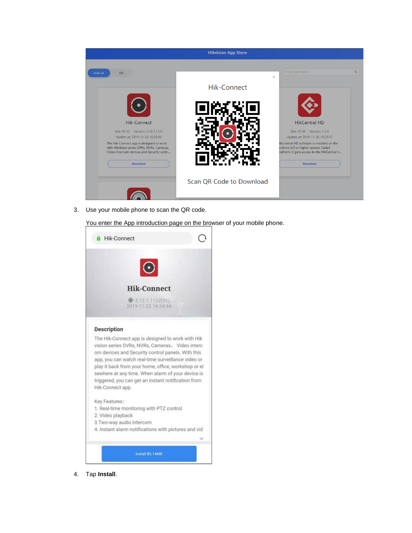

3. Use your mobile phone to scan the QR code.

You enter the App introduction page on the browser of your mobile phone.



4. Tap **Install**.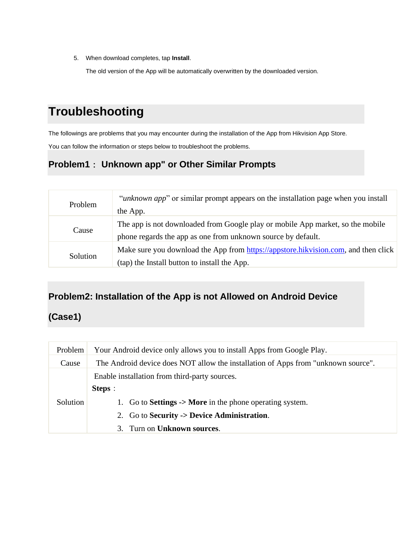5. When download completes, tap **Install**.

The old version of the App will be automatically overwritten by the downloaded version.

## **Troubleshooting**

The followings are problems that you may encounter during the installation of the App from Hikvision App Store.

You can follow the information or steps below to troubleshoot the problems.

### **Problem1**: **Unknown app" or Other Similar Prompts**

| Problem  | <i>"unknown app"</i> or similar prompt appears on the installation page when you install<br>the App.                                           |
|----------|------------------------------------------------------------------------------------------------------------------------------------------------|
| Cause    | The app is not downloaded from Google play or mobile App market, so the mobile<br>phone regards the app as one from unknown source by default. |
| Solution | Make sure you download the App from https://appstore.hikvision.com, and then click<br>(tap) the Install button to install the App.             |

#### **Problem2: Installation of the App is not Allowed on Android Device**

#### **(Case1)**

| Problem  | Your Android device only allows you to install Apps from Google Play.             |
|----------|-----------------------------------------------------------------------------------|
| Cause    | The Android device does NOT allow the installation of Apps from "unknown source". |
|          | Enable installation from third-party sources.                                     |
|          | <b>Steps</b> :                                                                    |
| Solution | 1. Go to <b>Settings -&gt; More</b> in the phone operating system.                |
|          | 2. Go to Security -> Device Administration.                                       |
|          | Turn on <b>Unknown sources</b> .<br>3.                                            |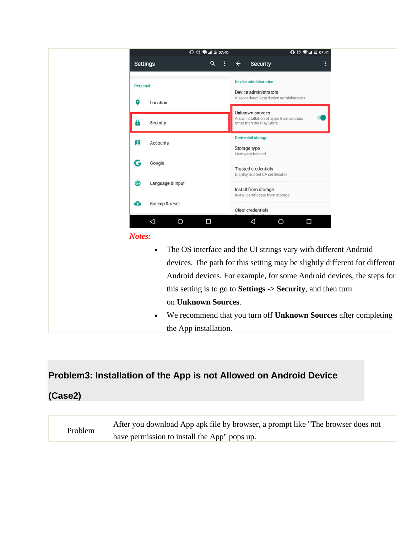

#### **Problem3: Installation of the App is not Allowed on Android Device**

#### **(Case2)**

| Problem | After you download App apk file by browser, a prompt like "The browser does not |
|---------|---------------------------------------------------------------------------------|
|         | have permission to install the App" pops up.                                    |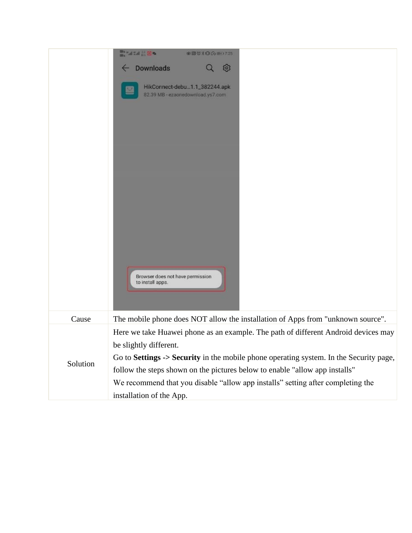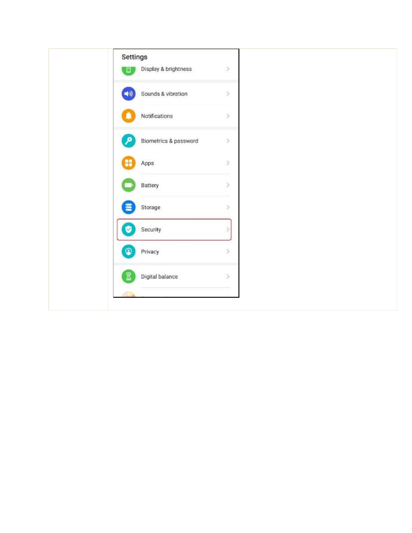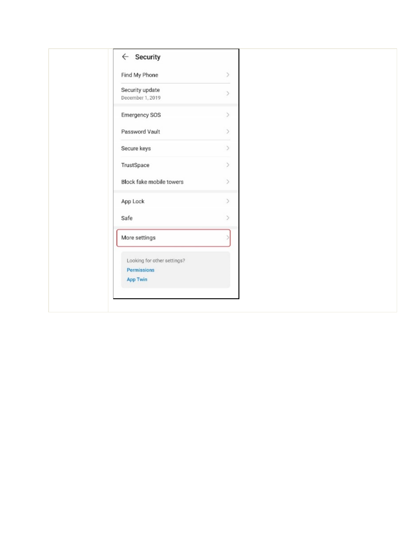| $\leftarrow$ Security       |                              |  |
|-----------------------------|------------------------------|--|
| Find My Phone               | $\,$                         |  |
| Security update             | $\rightarrow$                |  |
| December 1, 2019            |                              |  |
| Emergency SOS               | $\mathcal{P}$                |  |
| Password Vault              | $\mathcal{P}$                |  |
| Secure keys                 | $\rightarrow$                |  |
| TrustSpace                  | $\,$                         |  |
| Block fake mobile towers    | $\left\langle \right\rangle$ |  |
| App Lock                    | $\left\langle \right\rangle$ |  |
| Safe                        | $\mathcal{P}$                |  |
| More settings               |                              |  |
| Looking for other settings? |                              |  |
| Permissions                 |                              |  |
| App Twin                    |                              |  |
|                             |                              |  |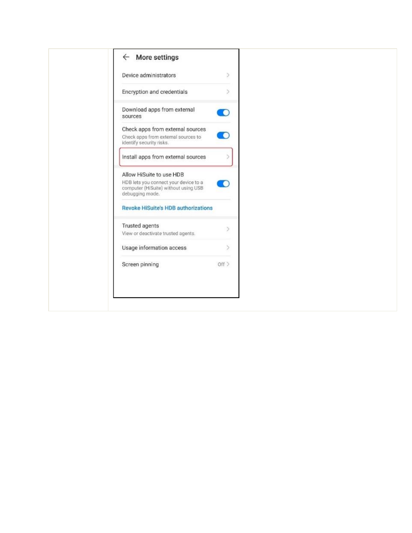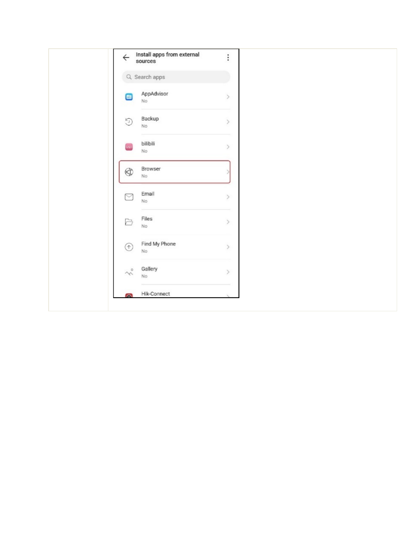